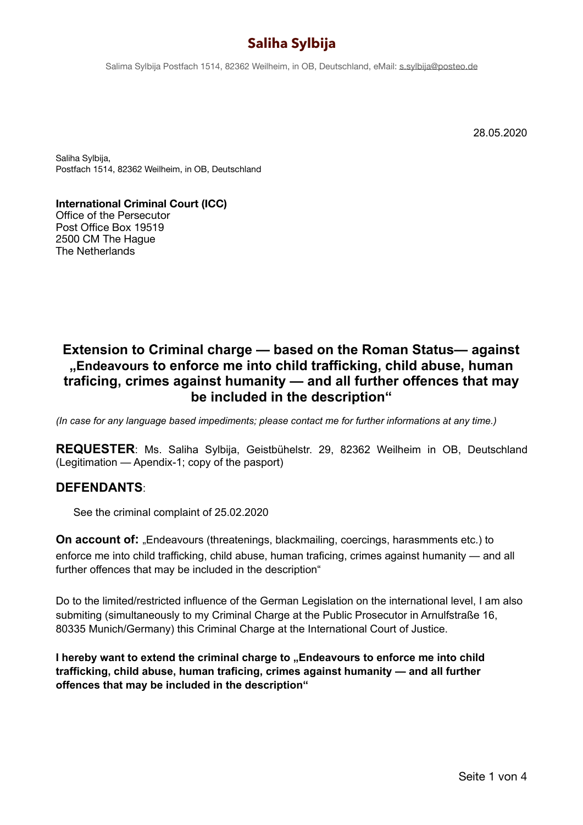Salima Sylbija Postfach 1514, 82362 Weilheim, in OB, Deutschland, eMail: [s.sylbija@posteo.de](mailto:s.sylbija@posteo.de)

28.05.2020

Saliha Sylbija, Postfach 1514, 82362 Weilheim, in OB, Deutschland

**International Criminal Court (ICC)**  Office of the Persecutor Post Office Box 19519 2500 CM The Hague The Netherlands

## **Extension to Criminal charge — based on the Roman Status— against "Endeavours to enforce me into child trafficking, child abuse, human traficing, crimes against humanity — and all further offences that may be included in the description"**

*(In case for any language based impediments; please contact me for further informations at any time.)* 

**REQUESTER**: Ms. Saliha Sylbija, Geistbühelstr. 29, 82362 Weilheim in OB, Deutschland (Legitimation — Apendix-1; copy of the pasport)

### **DEFENDANTS**:

See the criminal complaint of 25.02.2020

**On account of:** "Endeavours (threatenings, blackmailing, coercings, harasmments etc.) to enforce me into child trafficking, child abuse, human traficing, crimes against humanity — and all further offences that may be included in the description"

Do to the limited/restricted influence of the German Legislation on the international level, I am also submiting (simultaneously to my Criminal Charge at the Public Prosecutor in Arnulfstraße 16, 80335 Munich/Germany) this Criminal Charge at the International Court of Justice.

**I hereby want to extend the criminal charge to "Endeavours to enforce me into child trafficking, child abuse, human traficing, crimes against humanity — and all further offences that may be included in the description"**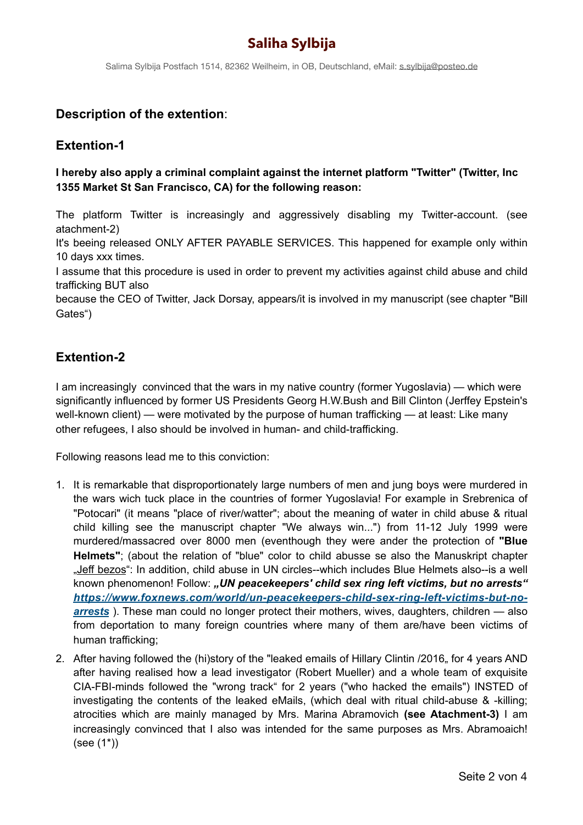Salima Sylbija Postfach 1514, 82362 Weilheim, in OB, Deutschland, eMail: [s.sylbija@posteo.de](mailto:s.sylbija@posteo.de)

### **Description of the extention**:

### **Extention-1**

#### **I hereby also apply a criminal complaint against the internet platform "Twitter" (Twitter, Inc 1355 Market St San Francisco, CA) for the following reason:**

The platform Twitter is increasingly and aggressively disabling my Twitter-account. (see atachment-2)

It's beeing released ONLY AFTER PAYABLE SERVICES. This happened for example only within 10 days xxx times.

I assume that this procedure is used in order to prevent my activities against child abuse and child trafficking BUT also

because the CEO of Twitter, Jack Dorsay, appears/it is involved in my manuscript (see chapter "Bill Gates")

### **Extention-2**

I am increasingly convinced that the wars in my native country (former Yugoslavia) — which were significantly influenced by former US Presidents Georg H.W.Bush and Bill Clinton (Jerffey Epstein's well-known client) — were motivated by the purpose of human trafficking — at least: Like many other refugees, I also should be involved in human- and child-trafficking.

Following reasons lead me to this conviction:

- 1. It is remarkable that disproportionately large numbers of men and jung boys were murdered in the wars wich tuck place in the countries of former Yugoslavia! For example in Srebrenica of "Potocari" (it means "place of river/watter"; about the meaning of water in child abuse & ritual child killing see the manuscript chapter "We always win...") from 11-12 July 1999 were murdered/massacred over 8000 men (eventhough they were ander the protection of **"Blue Helmets"**; (about the relation of "blue" color to child abusse se also the Manuskript chapter "Jeff bezos": In addition, child abuse in UN circles--which includes Blue Helmets also--is a well known phenomenon! Follow: "UN peacekeepers' child sex ring left victims, but no arrests" *[https://www.foxnews.com/world/un-peacekeepers-child-sex-ring-left-victims-but-no](https://www.foxnews.com/world/un-peacekeepers-child-sex-ring-left-victims-but-no-arrests)[arrests](https://www.foxnews.com/world/un-peacekeepers-child-sex-ring-left-victims-but-no-arrests)* ). These man could no longer protect their mothers, wives, daughters, children — also from deportation to many foreign countries where many of them are/have been victims of human trafficking;
- 2. After having followed the (hi)story of the "leaked emails of Hillary Clintin /2016, for 4 years AND after having realised how a lead investigator (Robert Mueller) and a whole team of exquisite CIA-FBI-minds followed the "wrong track" for 2 years ("who hacked the emails") INSTED of investigating the contents of the leaked eMails, (which deal with ritual child-abuse & -killing; atrocities which are mainly managed by Mrs. Marina Abramovich **(see Atachment-3)** I am increasingly convinced that I also was intended for the same purposes as Mrs. Abramoaich! (see (1\*))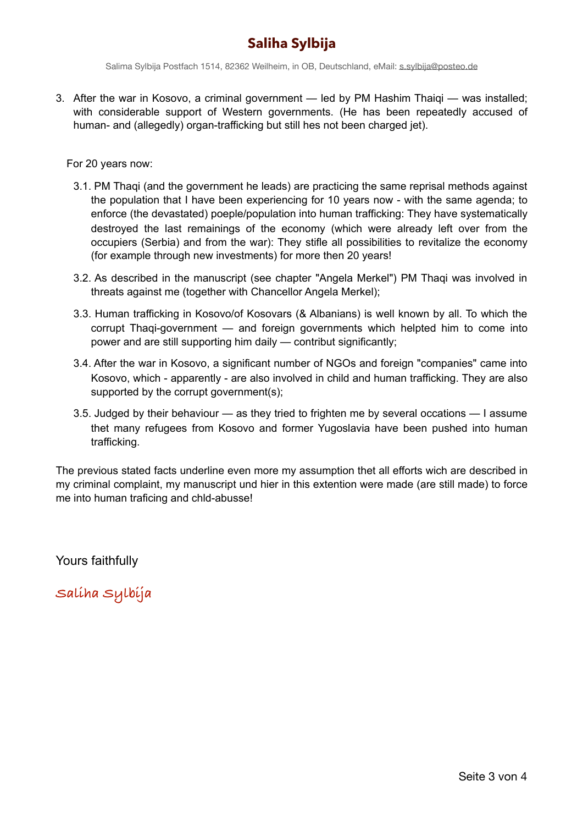Salima Sylbija Postfach 1514, 82362 Weilheim, in OB, Deutschland, eMail: [s.sylbija@posteo.de](mailto:s.sylbija@posteo.de)

3. After the war in Kosovo, a criminal government — led by PM Hashim Thaiqi — was installed; with considerable support of Western governments. (He has been repeatedly accused of human- and (allegedly) organ-trafficking but still hes not been charged jet).

For 20 years now:

- 3.1. PM Thaqi (and the government he leads) are practicing the same reprisal methods against the population that I have been experiencing for 10 years now - with the same agenda; to enforce (the devastated) poeple/population into human trafficking: They have systematically destroyed the last remainings of the economy (which were already left over from the occupiers (Serbia) and from the war): They stifle all possibilities to revitalize the economy (for example through new investments) for more then 20 years!
- 3.2. As described in the manuscript (see chapter "Angela Merkel") PM Thaqi was involved in threats against me (together with Chancellor Angela Merkel);
- 3.3. Human trafficking in Kosovo/of Kosovars (& Albanians) is well known by all. To which the corrupt Thaqi-government — and foreign governments which helpted him to come into power and are still supporting him daily — contribut significantly;
- 3.4. After the war in Kosovo, a significant number of NGOs and foreign "companies" came into Kosovo, which - apparently - are also involved in child and human trafficking. They are also supported by the corrupt government(s);
- 3.5. Judged by their behaviour as they tried to frighten me by several occations I assume thet many refugees from Kosovo and former Yugoslavia have been pushed into human trafficking.

The previous stated facts underline even more my assumption thet all efforts wich are described in my criminal complaint, my manuscript und hier in this extention were made (are still made) to force me into human traficing and chld-abusse!

Yours faithfully

**Saliha Sylbija**